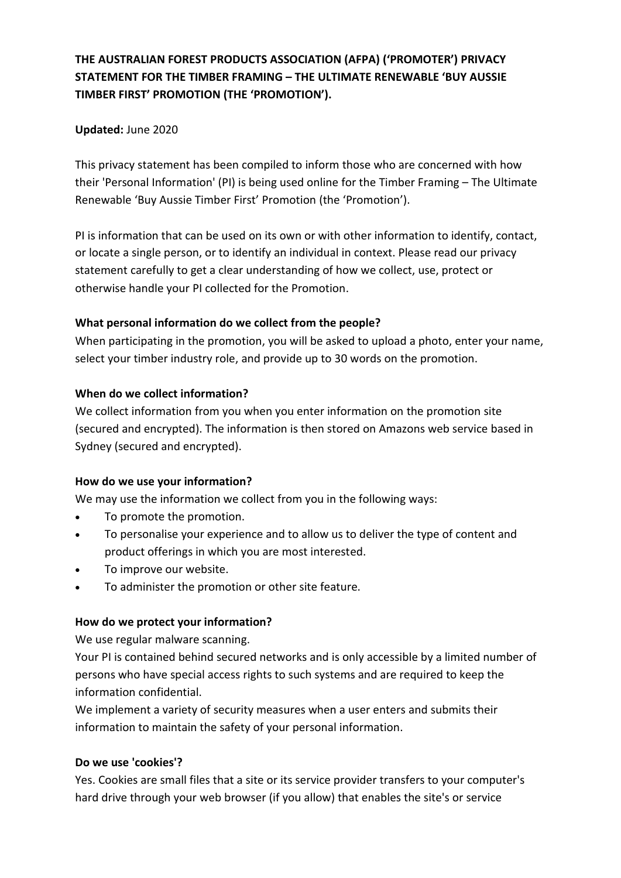# **THE AUSTRALIAN FOREST PRODUCTS ASSOCIATION (AFPA) ('PROMOTER') PRIVACY STATEMENT FOR THE TIMBER FRAMING – THE ULTIMATE RENEWABLE 'BUY AUSSIE TIMBER FIRST' PROMOTION (THE 'PROMOTION').**

# **Updated:** June 2020

This privacy statement has been compiled to inform those who are concerned with how their 'Personal Information' (PI) is being used online for the Timber Framing – The Ultimate Renewable 'Buy Aussie Timber First' Promotion (the 'Promotion').

PI is information that can be used on its own or with other information to identify, contact, or locate a single person, or to identify an individual in context. Please read our privacy statement carefully to get a clear understanding of how we collect, use, protect or otherwise handle your PI collected for the Promotion.

# **What personal information do we collect from the people?**

When participating in the promotion, you will be asked to upload a photo, enter your name, select your timber industry role, and provide up to 30 words on the promotion.

# **When do we collect information?**

We collect information from you when you enter information on the promotion site (secured and encrypted). The information is then stored on Amazons web service based in Sydney (secured and encrypted).

#### **How do we use your information?**

We may use the information we collect from you in the following ways:

- To promote the promotion.
- To personalise your experience and to allow us to deliver the type of content and product offerings in which you are most interested.
- To improve our website.
- To administer the promotion or other site feature.

# **How do we protect your information?**

We use regular malware scanning.

Your PI is contained behind secured networks and is only accessible by a limited number of persons who have special access rights to such systems and are required to keep the information confidential.

We implement a variety of security measures when a user enters and submits their information to maintain the safety of your personal information.

#### **Do we use 'cookies'?**

Yes. Cookies are small files that a site or its service provider transfers to your computer's hard drive through your web browser (if you allow) that enables the site's or service